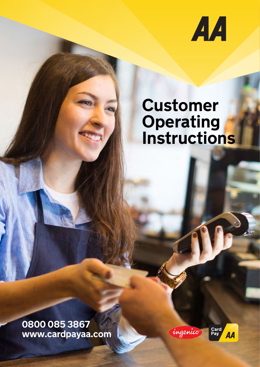

# **Customer Operating Instructions**

**0800 085 3867 www.cardpayaa.com**



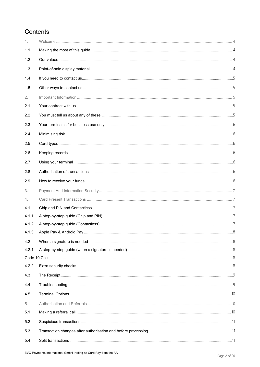# Contents

| 1.    |  |
|-------|--|
| 1.1   |  |
| 1.2   |  |
| 1.3   |  |
| 1.4   |  |
| 1.5   |  |
| 2.    |  |
| 2.1   |  |
| 2.2   |  |
| 2.3   |  |
| 2.4   |  |
| 2.5   |  |
| 2.6   |  |
| 2.7   |  |
| 2.8   |  |
| 2.9   |  |
| 3.    |  |
| 4.    |  |
| 4.1   |  |
| 4.1.1 |  |
| 4.1.2 |  |
| 4.1.3 |  |
| 4.2   |  |
| 4.2.1 |  |
|       |  |
| 4.2.2 |  |
| 4.3   |  |
| 4.4   |  |
| 4.5   |  |
| 5.    |  |
| 5.1   |  |
| 5.2   |  |
| 5.3   |  |
| 5.4   |  |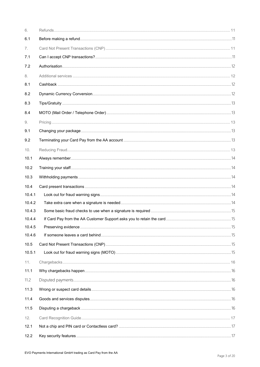| 6.     |  |
|--------|--|
| 6.1    |  |
| 7.     |  |
| 7.1    |  |
| 7.2    |  |
| 8.     |  |
| 8.1    |  |
| 8.2    |  |
| 8.3    |  |
| 8.4    |  |
| 9.     |  |
| 9.1    |  |
| 9.2    |  |
| 10.    |  |
| 10.1   |  |
| 10.2   |  |
| 10.3   |  |
| 10.4   |  |
| 10.4.1 |  |
| 10.4.2 |  |
| 10.4.3 |  |
| 10.4.4 |  |
| 10.4.5 |  |
| 10.4.6 |  |
| 10.5   |  |
| 10.5.1 |  |
| 11.    |  |
| 11.1   |  |
| 11.2   |  |
| 11.3   |  |
| 11.4   |  |
| 11.5   |  |
| 12.    |  |
| 12.1   |  |
| 12.2   |  |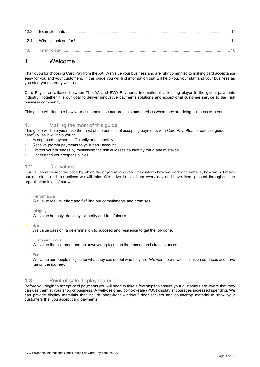| 12.3 |            |
|------|------------|
| 12.4 |            |
| 13.  | Ferminoloa |

# <span id="page-3-0"></span>1. Welcome

Thank you for choosing Card Pay from the AA. We value your business and are fully committed to making card acceptance easy for you and your customers. In this guide you will find information that will help you, your staff and your business as you start your journey with us.

Card Pay is an alliance between The AA and EVO Payments International, a leading player in the global payments industry. Together it is our goal to deliver innovative payments solutions and exceptional customer service to the Irish business community.

This guide will illustrate how your customers use our products and services when they are doing business with you.

# <span id="page-3-1"></span>1.1 Making the most of this guide

This guide will help you make the most of the benefits of accepting payments with Card Pay. Please read this guide carefully, as it will help you to:

- > Accept card payments efficiently and smoothly
- > Receive prompt payments to your bank account
- > Protect your business by minimising the risk of losses caused by fraud and mistakes
- > Understand your responsibilities

# <span id="page-3-2"></span>1.2 Our values

Our values represent the code by which the organisation lives. They inform how we work and behave, how we will make our decisions and the actions we will take. We strive to live them every day and have them present throughout the organisation in all of our work.

> Performance

We value results, effort and fulfilling our commitments and promises.

**Integrity** 

We value honesty, decency, sincerity and truthfulness

> Spirit

We value passion, a determination to succeed and resilience to get the job done.

Customer Focus

We value the customer and an unwavering focus on their needs and circumstances.

> Fun

We value our people not just for what they can do but who they are. We want to win with smiles on our faces and have fun on the journey.

# <span id="page-3-3"></span>1.3 Point-of-sale display material

Before you begin to accept card payments you will need to take a few steps to ensure your customers are aware that they can use them at your shop or business. A well-designed point-of-sale (POS) display encourages increased spending. We can provide display materials that include shop-front window / door stickers and countertop material to show your customers that you accept card payments.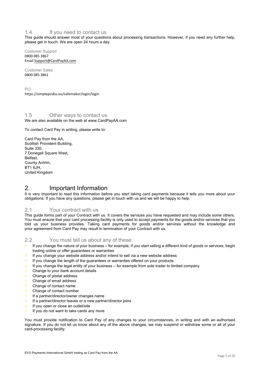# <span id="page-4-0"></span>1.4 If you need to contact us

This guide should answer most of your questions about processing transactions. However, if you need any further help, please get in touch. We are open 24 hours a day.

Customer Support 0800 085 3867 Email Support@[CardPayAA.](mailto:support@BOIPA.com)com

Customer Sales 0800 085 3861

PCI [https://simplepcidss.eu/safemak](https://boipa.simplepcidss.eu/)er/login/login

#### <span id="page-4-1"></span>1.5 Other ways to contact us We are also available on the web at www.CardPayAA.com

To contact Card Pay in writing, please write to:

Card Pay from the AA, Scottish Provident Building, Suite 330, 7 Donegall Square West, Belfast, County Antrim, BT1 6JH, United Kingdom

# <span id="page-4-2"></span>2. Important Information

It is very important to read this information before you start taking card payments because it tells you more about your obligations. If you have any questions, please get in touch with us and we will be happy to help.

# <span id="page-4-3"></span>2.1 Your contract with us

This guide forms part of your Contract with us. It covers the services you have requested and may include some others. You must ensure that your card processing facility is only used to accept payments for the goods and/or services that you told us your business provides. Taking card payments for goods and/or services without the knowledge and prior agreement from Card Pay may result in termination of your Contract with us.

# <span id="page-4-4"></span>2.2 You must tell us about any of these:

- > If you change the nature of your business for example, if you start selling a different kind of goods or services, begin trading online or offer guarantees or warranties
- If you change your website address and/or intend to sell via a new website address
- > If you change the length of the guarantees or warranties offered on your products
- > If you change the legal entity of your business for example from sole trader to limited company
- > Change to your bank account details
- > Change of postal address
- > Change of email address
- > Change of contact name
- > Change of contact number
- > If a partner/director/owner changes name
- If a partner/director leaves or a new partner/director joins
- > If you open or close an outlet/site
- If you do not want to take cards any more

You must provide notification to Card Pay of any changes to your circumstances, in writing and with an authorised signature. If you do not let us know about any of the above changes, we may suspend or withdraw some or all of your card-processing facility.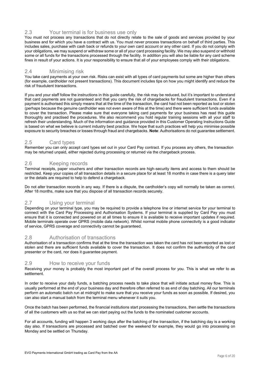# <span id="page-5-0"></span>2.3 Your terminal is for business use only

You must not process any transactions that do not directly relate to the sale of goods and services provided by your business and for which you have a contract with us. You must never process transactions on behalf of third parties. This includes sales, purchase with cash back or refunds to your own card account or any other card. If you do not comply with your obligations, we may suspend or withdraw some or all of your card processing facility. We may also suspend or withhold some or all funds for the transactions processed through the facility. In addition you will also be liable for any card scheme fines in result of your actions. It is your responsibility to ensure that all of your employees comply with their obligations.

## <span id="page-5-1"></span>2.4 Minimising risk

You take card payments at your own risk. Risks can exist with all types of card payments but some are higher than others (for example, cardholder not present transactions). This document includes tips on how you might identify and reduce the risk of fraudulent transactions.

If you and your staff follow the instructions in this guide carefully, the risk may be reduced, but it's important to understand that card payments are not guaranteed and that you carry the risk of chargebacks for fraudulent transactions. Even if a payment is authorised this simply means that at the time of the transaction, the card had not been reported as lost or stolen (perhaps because the genuine cardholder was not even aware of this at the time) and there were sufficient funds available to cover the transaction. Please make sure that everyone taking card payments for your business has read this guide thoroughly and practised the procedures. We also recommend you hold regular training sessions with all your staff to refresh their understanding. Much of the information and guidance provided in this Customer Operating Instructions Guide is based on what we believe is current industry best practice. We hope that such practices will help you minimise possible exposure to security breaches or losses through fraud and chargebacks. **Note**: Authorisations do not guarantee settlement.

# <span id="page-5-2"></span>2.5 Card types

Remember you can only accept card types set out in your Card Pay contract. If you process any others, the transaction may be returned unpaid, either rejected during processing or returned via the chargeback process.

# <span id="page-5-3"></span>2.6 Keeping records

Terminal receipts, paper vouchers and other transaction records are high-security items and access to them should be restricted. Keep your copies of all transaction details in a secure place for at least 18 months in case there is a query later or the details are required to help to defend a chargeback.

Do not alter transaction records in any way. If there is a dispute, the cardholder's copy will normally be taken as correct. After 18 months, make sure that you dispose of all transaction records securely.

# <span id="page-5-4"></span>2.7 Using your terminal

Depending on your terminal type, you may be required to provide a telephone line or internet service for your terminal to connect with the Card Pay Processing and Authorisation Systems. If your terminal is supplied by Card Pay you must ensure that it is connected and powered on at all times to ensure it is available to receive important updates if required. Mobile terminals operate over GPRS (mobile data network). Whilst normal mobile phone connectivity is a good indicator of service, GPRS coverage and connectivity cannot be guaranteed.

# <span id="page-5-5"></span>2.8 Authorisation of transactions

Authorisation of a transaction confirms that at the time the transaction was taken the card has not been reported as lost or stolen and there are sufficient funds available to cover the transaction. It does not confirm the authenticity of the card presenter or the card, nor does it guarantee payment.

# <span id="page-5-6"></span>2.9 How to receive your funds

Receiving your money is probably the most important part of the overall process for you. This is what we refer to as settlement.

In order to receive your daily funds, a batching process needs to take place that will initiate actual money flow. This is usually performed at the end of your business day and therefore often referred to as end of day batching. All our terminals perform an automatic batch run at midnight to make sure that you receive your funds as soon as possible. If desired, you can also start a manual batch from the terminal menu whenever it suits you.

Once the batch has been performed, the financial institutions start processing the transactions, then settle the transactions of all the customers with us so that we can start paying out the funds to the nominated customer accounts.

For all accounts, funding will happen 3 working days after the batching of the transaction, if the batching day is a working day also. If transactions are processed and batched over the weekend for example, they would go into processing on Monday and be settled on Thursday.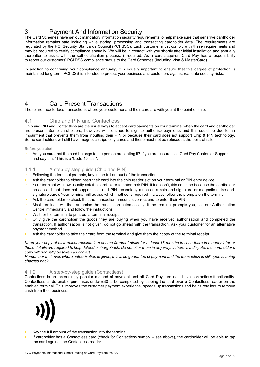# <span id="page-6-0"></span>3. Payment And Information Security

The Card Schemes have set out mandatory information security requirements to help make sure that sensitive cardholder information remains safe including while storing, processing and transacting cardholder data. The requirements are regulated by the PCI Security Standards Council (PCI SSC). Each customer must comply with these requirements and may be required to certify compliance annually. We will be in contact with you shortly after initial installation and annually thereafter to assist with the self-certification process, if required. As a card acquirer, Card Pay has a responsibility to report our customers' PCI DSS compliance status to the Card Schemes (including Visa & MasterCard).

In addition to confirming your compliance annually, it is equally important to ensure that this degree of protection is maintained long term. PCI DSS is intended to protect your business and customers against real data security risks.

# <span id="page-6-1"></span>4. Card Present Transactions

These are face-to-face transactions where your customer and their card are with you at the point of sale.

# <span id="page-6-2"></span>4.1 Chip and PIN and Contactless

Chip and PIN and Contactless are the usual ways to accept card payments on your terminal when the card and cardholder are present. Some cardholders, however, will continue to sign to authorise payments and this could be due to an impairment that prevents them from inputting their PIN or because their card does not support Chip & PIN technology. Some cardholders will still have magnetic stripe only cards and these must not be refused at the point of sale.

#### Before you start

Are you sure that the card belongs to the person presenting it? If you are unsure, call Card Pay Customer Support and say that "This is a 'Code 10' call".

# <span id="page-6-3"></span>4.1.1 A step-by-step guide (Chip and PIN)

- > Following the terminal prompts, key in the full amount of the transaction
- Ask the cardholder to either insert their card into the chip reader slot on your terminal or PIN entry device
- > Your terminal will now usually ask the cardholder to enter their PIN. If it doesn't, this could be because the cardholder has a card that does not support chip and PIN technology (such as a chip-and-signature or magnetic-stripe-andsignature card). Your terminal will advise which method is required – always follow the prompts on the terminal
- Ask the cardholder to check that the transaction amount is correct and to enter their PIN
- > Most terminals will then authorise the transaction automatically. If the terminal prompts you, call our Authorisation Centre immediately and follow the instructions
- > Wait for the terminal to print out a terminal receipt
- Only give the cardholder the goods they are buying when you have received authorisation and completed the transaction. If authorisation is not given, do not go ahead with the transaction. Ask your customer for an alternative payment method
- Ask the cardholder to take their card from the terminal and give them their copy of the terminal receipt

*Keep your copy of all terminal receipts in a secure fireproof place for at least 18 months in case there is a query later or these details are required to help defend a chargeback. Do not alter them in any way. If there is a dispute, the cardholder's copy will normally be taken as correct.* 

*Remember that even where authorisation is given, this is no guarantee of payment and the transaction is still open to being charged back.* 

# <span id="page-6-4"></span>4.1.2 A step-by-step guide (Contactless)

Contactless is an increasingly popular method of payment and all Card Pay terminals have contactless functionality. Contactless cards enable purchases under £30 to be completed by tapping the card over a Contactless reader on the enabled terminal. This improves the customer payment experience, speeds up transactions and helps retailers to remove cash from their business.



- Key the full amount of the transaction into the terminal
- If cardholder has a Contactless card (check for Contactless symbol see above), the cardholder will be able to tap the card against the Contactless reader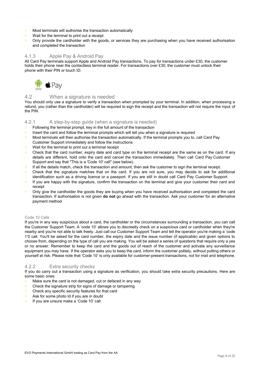- > Most terminals will authorise the transaction automatically
- > Wait for the terminal to print out a receipt
- Only provide the cardholder with the goods, or services they are purchasing when you have received authorisation and completed the transaction

#### <span id="page-7-0"></span>4.1.3 Apple Pay & Android Pay

All Card Pay terminals support Apple and Android Pay transactions. To pay for transactions under £30, the customer holds their phone near the contactless terminal reader. For transactions over £30, the customer must unlock their phone with their PIN or touch ID.



# <span id="page-7-1"></span>4.2 When a signature is needed

You should only use a signature to verify a transaction when prompted by your terminal. In addition, when processing a refund, you (rather than the cardholder) will be required to sign the receipt and the transaction will not require the input of the PIN.

# <span id="page-7-2"></span>4.2.1 A step-by-step guide (when a signature is needed)

- > Following the terminal prompt, key in the full amount of the transaction
- > Insert the card and follow the terminal prompts which will tell you when a signature is required
- > Most terminals will then authorise the transaction automatically. If the terminal prompts you to, call Card Pay Customer Support immediately and follow the instructions
- > Wait for the terminal to print out a terminal receipt
- Check that the card number, expiry date and card type on the terminal receipt are the same as on the card. If any details are different, hold onto the card and cancel the transaction immediately. Then call Card Pay Customer Support and say that "This is a 'Code 10' call" (see below).
- > If all the details match, check the transaction and amount, then ask the customer to sign the terminal receipt.
- > Check that the signature matches that on the card. If you are not sure, you may decide to ask for additional identification such as a driving licence or a passport. If you are still in doubt call Card Pay Customer Support
- > If you are happy with the signature, confirm the transaction on the terminal and give your customer their card and receipt
- > Only give the cardholder the goods they are buying when you have received authorisation and completed the card transaction. If authorisation is not given **do not** go ahead with the transaction. Ask your customer for an alternative payment method

#### <span id="page-7-3"></span>Code 10 Calls

If you're in any way suspicious about a card, the cardholder or the circumstances surrounding a transaction, you can call the Customer Support Team. A 'code 10' allows you to discreetly check on a suspicious card or cardholder when they're nearby and you're not able to talk freely. Just call our Customer Support Team and tell the operator you're making a 'code 1'0 call. You'll be asked for the card number, the expiry date and the issue number (if applicable) and given options to choose from, depending on the type of call you are making. You will be asked a series of questions that require only a yes or no answer. Remember to keep the card and the goods out of reach of the customer and activate any surveillance equipment you may have. If the operator asks you to keep the card, inform the customer politely, without putting others or yourself at risk. Please note that 'Code 10' is only available for customer-present transactions, not for mail and telephone.

# <span id="page-7-4"></span>4.2.2 Extra security checks

If you do carry out a transaction using a signature as verification, you should take extra security precautions. Here are some basic ones:

- > Make sure the card is not damaged, cut or defaced in any way
- Check the signature strip for signs of damage or tampering
- > Check any specific security features for that card
- Ask for some photo Id if you are in doubt
- If you are unsure make a 'Code 10' call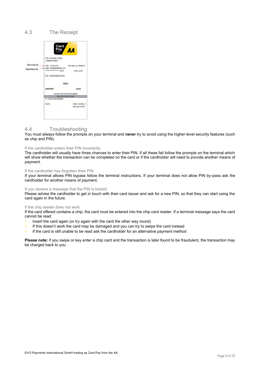# <span id="page-8-0"></span>4.3 The Receipt

|                                   | Card                                                         | <b>AA</b>                          |
|-----------------------------------|--------------------------------------------------------------|------------------------------------|
|                                   | THE CORNER STORE<br>1 MAIN STREET                            |                                    |
| <b>Terminal Id</b><br>Merchant Id | TID: 12345678<br>MID: IE0000000001234<br>**** **** **** 7654 | Receipt no: 000234<br>Valid until: |
|                                   | AID: A0000000031040                                          |                                    |
|                                   | <b>SALE</b>                                                  |                                    |
|                                   | <b>AMOUNT</b>                                                | 10.00                              |
|                                   | SIGNATURE NOT REQUIRED                                       |                                    |
|                                   | <b>RECEIPT FOR CLIENT</b><br>Tc: AF65A76543BF98              |                                    |
|                                   | DATE:                                                        | TIME: 18:08:17<br>App ver: 0139    |
|                                   |                                                              |                                    |

# <span id="page-8-1"></span>4.4 Troubleshooting

You must always follow the prompts on your terminal and **never** try to avoid using the higher-level security features (such as chip and PIN).

#### If the cardholder enters their PIN incorrectly

The cardholder will usually have three chances to enter their PIN. If all these fail follow the prompts on the terminal which will show whether the transaction can be completed on the card or if the cardholder will need to provide another means of payment.

#### If the cardholder has forgotten their PIN

If your terminal allows PIN bypass follow the terminal instructions. If your terminal does not allow PIN by-pass ask the cardholder for another means of payment.

#### If you receive a message that the PIN is locked

Please advise the cardholder to get in touch with their card issuer and ask for a new PIN, so that they can start using the card again in the future.

#### If the chip reader does not work

If the card offered contains a chip, the card must be entered into the chip card reader. If a terminal message says the card cannot be read:

- > Insert the card again (or try again with the card the other way round)
- > If this doesn't work the card may be damaged and you can try to swipe the card instead
- > If the card is still unable to be read ask the cardholder for an alternative payment method

**Please note:** if you swipe or key enter a chip card and the transaction is later found to be fraudulent, the transaction may be charged back to you.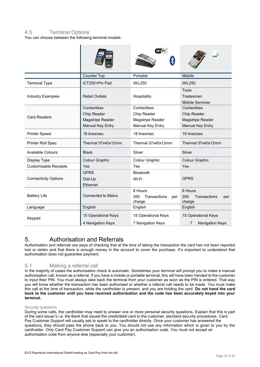# <span id="page-9-0"></span>4.5 Terminal Options

You can choose between the following terminal models.

|                              |                                                                    | WijFi                                                              | GPRS                                                               |
|------------------------------|--------------------------------------------------------------------|--------------------------------------------------------------------|--------------------------------------------------------------------|
|                              | Counter Top                                                        | Portable                                                           | Mobile                                                             |
| <b>Terminal Type</b>         | iCT250+Pin Pad                                                     | iWL250                                                             | iWL250                                                             |
| <b>Industry Examples</b>     | <b>Retail Outlets</b>                                              | Hospitality                                                        | <b>Taxis</b><br>Tradesmen<br><b>Mobile Services</b>                |
| <b>Card Readers</b>          | Contactless<br>Chip Reader<br>Magstripe Reader<br>Manual Key Entry | Contactless<br>Chip Reader<br>Magstripe Reader<br>Manual Key Entry | Contactless<br>Chip Reader<br>Magstripe Reader<br>Manual Key Entry |
| <b>Printer Speed</b>         | 18 lines/sec                                                       | 18 lines/sec                                                       | 18 lines/sec                                                       |
| <b>Printer Roll Spec</b>     | Thermal 57x40x12mm                                                 | Thermal 57x40x12mm                                                 | Thermal 57x40x12mm                                                 |
| Available Colours            | <b>Black</b>                                                       | Silver                                                             | Silver                                                             |
| Display Type                 | Colour Graphic                                                     | Colour Graphic                                                     | Colour Graphic                                                     |
| <b>Customisable Receipts</b> | Yes                                                                | Yes                                                                | Yes                                                                |
| <b>Connectivity Options</b>  | <b>GPRS</b><br>Dial-Up<br>Ethernet                                 | Bluetooth<br>Wi-Fi                                                 | <b>GPRS</b>                                                        |
| <b>Battery Life</b>          | <b>Connected to Mains</b>                                          | 6 Hours<br>200<br>Transactions<br>per<br>charge                    | 6 Hours<br>200<br>Transactions<br>per<br>charge                    |
| Language                     | English                                                            | English                                                            | English                                                            |
| Keypad                       | 15 Operational Keys<br>4 Navigation Keys                           | 15 Operational Keys<br>7 Navigation Keys                           | 15 Operational Keys<br><b>Navigation Keys</b><br>7                 |

# <span id="page-9-1"></span>5. Authorisation and Referrals

Authorisation and referrals are ways of checking that at the time of taking the transaction the card has not been reported lost or stolen and that there is enough money in the account to cover the purchase. It's important to understand that authorisation does not guarantee payment.

# <span id="page-9-2"></span>5.1 Making a referral call

In the majority of cases the authorisation check is automatic. Sometimes your terminal will prompt you to make a manual authorisation call, known as a referral. If you have a mobile or portable terminal, this will have been handed to the customer to input their PIN. You must always take back the terminal from your customer as soon as the PIN is entered. That way you will know whether the transaction has been authorised or whether a referral call needs to be made. You must make this call at the time of transaction, while the cardholder is present, and you are holding the card. **Do not hand the card**  back to the customer until you have received authorisation and the code has been accurately keyed into your **terminal.** 

#### Security questions

During some calls, the cardholder may need to answer one or more personal security questions. Explain that this is part of the card issuer's i.e. the Bank that issued the credit/debit card to the customer, standard security procedures. Card Pay Customer Support will usually ask to speak to the cardholder directly. Once your customer has answered the questions, they should pass the phone back to you. You should not use any information which is given to you by the cardholder. Only Card Pay Customer Support can give you an authorisation code. You must not accept an authorisation code from anyone else (especially your customer).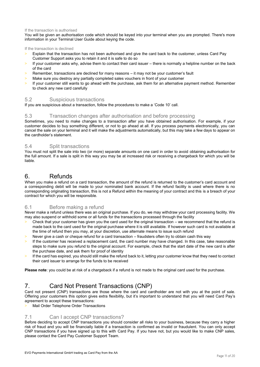#### If the transaction is authorised

You will be given an authorisation code which should be keyed into your terminal when you are prompted. There's more information in your Terminal User Guide about keying the code.

#### If the transaction is declined

- Explain that the transaction has not been authorised and give the card back to the customer, unless Card Pay Customer Support asks you to retain it and it is safe to do so
- If your customer asks why, advise them to contact their card issuer there is normally a helpline number on the back of the card
- Remember, transactions are declined for many reasons it may not be your customer's fault
- Make sure you destroy any partially completed sales vouchers in front of your customer
- If your customer still wants to go ahead with the purchase, ask them for an alternative payment method. Remember to check any new card carefully

# <span id="page-10-0"></span>5.2 Suspicious transactions

If you are suspicious about a transaction, follow the procedures to make a 'Code 10' call.

#### <span id="page-10-1"></span>5.3 Transaction changes after authorisation and before processing

Sometimes, you need to make changes to a transaction after you have obtained authorisation. For example, if your customer decides to buy something different, or not to go ahead at all. If you process payments electronically, you can cancel the sale on your terminal and it will make the adjustments automatically, but this may take a few days to appear on the cardholder's statement.

# <span id="page-10-2"></span>5.4 Split transactions

You must not split the sale into two (or more) separate amounts on one card in order to avoid obtaining authorisation for the full amount. If a sale is split in this way you may be at increased risk or receiving a chargeback for which you will be liable.

# <span id="page-10-3"></span>6. Refunds

When you make a refund on a card transaction, the amount of the refund is returned to the customer's card account and a corresponding debit will be made to your nominated bank account. If the refund facility is used where there is no corresponding originating transaction, this is not a Refund within the meaning of your contract and this is a breach of your contract for which you will be responsible.

# <span id="page-10-4"></span>6.1 Before making a refund

Never make a refund unless there was an original purchase. If you do, we may withdraw your card processing facility. We may also suspend or withhold some or all funds for the transactions processed through the facility

- Check that your customer has given you the card used for the original transaction we recommend that the refund is made back to the card used for the original purchase where it is still available. If however such card is not available at the time of refund then you may, at your discretion, use alternate means to issue such refund
- Never give a cash or cheque refund for a card transaction fraudsters often try to obtain cash this way
- If the customer has received a replacement card, the card number may have changed. In this case, take reasonable steps to make sure you refund to the original account. For example, check that the start date of the new card is after the purchase date, and ask them for proof of identity
- If the card has expired, you should still make the refund back to it, letting your customer know that they need to contact their card issuer to arrange for the funds to be received

**Please note**: you could be at risk of a chargeback if a refund is not made to the original card used for the purchase.

# <span id="page-10-5"></span>7. Card Not Present Transactions (CNP)

Card not present (CNP) transactions are those where the card and cardholder are not with you at the point of sale. Offering your customers this option gives extra flexibility, but it's important to understand that you will need Card Pay's agreement to accept these transactions:

Mail Order Telephone Order Transactions

# <span id="page-10-6"></span>7.1 Can I accept CNP transactions?

Before deciding to accept CNP transactions you should consider all risks to your business, because they carry a higher risk of fraud and you will be financially liable if a transaction is confirmed as invalid or fraudulent. You can only accept CNP transactions if you have signed up to this with Card Pay. If you have not, but you would like to make CNP sales, please contact the Card Pay Customer Support Team.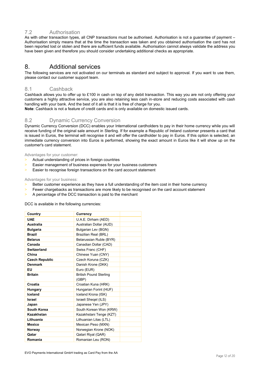# <span id="page-11-0"></span>7.2 Authorisation

As with other transaction types, all CNP transactions must be authorised. Authorisation is not a guarantee of payment – Authorisation simply means that at the time the transaction was taken and you obtained authorisation the card has not been reported lost or stolen and there are sufficient funds available. Authorisation cannot always validate the address you have been given and therefore you should consider undertaking additional checks as appropriate.

# <span id="page-11-1"></span>8. Additional services

The following services are not activated on our terminals as standard and subject to approval. If you want to use them, please contact our customer support team.

# <span id="page-11-2"></span>8.1 Cashback

Cashback allows you to offer up to £100 in cash on top of any debit transaction. This way you are not only offering your customers a highly attractive service, you are also retaining less cash in-store and reducing costs associated with cash handling with your bank. And the best of it all is that it is free of charge for you.

**Note**: Cashback is not a feature of credit cards and is only available on domestic issued cards.

# <span id="page-11-3"></span>8.2 Dynamic Currency Conversion

Dynamic Currency Conversion (DCC) enables your International cardholders to pay in their home currency while you will receive funding of the original sale amount in Sterling. If for example a Republic of Ireland customer presents a card that is issued in Euros, the terminal will recognise it and will offer the cardholder to pay in Euros. If this option is selected, an immediate currency conversion into Euros is performed, showing the exact amount in Euros like it will show up on the customer's card statement.

Advantages for your customer:

- > Actual understanding of prices in foreign countries
- > Easier management of business expenses for your business customers
- > Easier to recognise foreign transactions on the card account statement

#### Advantages for your business:

- Better customer experience as they have a full understanding of the item cost in their home currency
- > Fewer chargebacks as transactions are more likely to be recognised on the card account statement
- A percentage of the DCC transaction is paid to the merchant

DCC is available in the following currencies:

| Country               | <b>Currency</b>               |  |
|-----------------------|-------------------------------|--|
| <b>UAE</b>            | U.A.E. Dirham (AED)           |  |
| Australia             | Australian Dollar (AUD)       |  |
| <b>Bulgaria</b>       | Bulgarian Lev (BGN)           |  |
| <b>Brazil</b>         | Brazilian Real (BRL)          |  |
| <b>Belarus</b>        | Belarussian Ruble (BYR)       |  |
| Canada                | Canadian Dollar (CAD)         |  |
| Switzerland           | Swiss Franc (CHF)             |  |
| China                 | Chinese Yuan (CNY)            |  |
| <b>Czech Republic</b> | Czech Koruna (CZK)            |  |
| <b>Denmark</b>        | Danish Krone (DKK)            |  |
| EU                    | Euro (EUR)                    |  |
| <b>Britain</b>        | <b>British Pound Sterling</b> |  |
|                       | (GBP)                         |  |
| Croatia               | Croatian Kuna (HRK)           |  |
| Hungary               | Hungarian Forint (HUF)        |  |
| Iceland               | Iceland Krona (ISK)           |  |
| <b>Israel</b>         | Israeli Shegel (ILS)          |  |
| Japan                 | Japanese Yen (JPY)            |  |
| South Korea           | South Korean Won (KRW)        |  |
| Kazakhstan            | Kazakhstani Tenge (KZT)       |  |
| Lithuania             | Lithuanian Litas (LTL)        |  |
| <b>Mexico</b>         | Mexican Peso (MXN)            |  |
| Norway                | Norwegian Krone (NOK)         |  |
| Qatar                 | Qatari Riyal (QAR)            |  |
| Romania               | Romanian Leu (RON)            |  |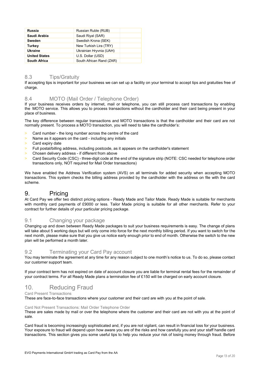| Russia               | Russian Ruble (RUB)      |  |
|----------------------|--------------------------|--|
| Saudi Arabia         | Saudi Rival (SAR)        |  |
| Sweden               | Swedish Krona (SEK)      |  |
| Turkey               | New Turkish Lira (TRY)   |  |
| Ukraine              | Ukrainian Hryvnia (UAH)  |  |
| <b>United States</b> | U.S. Dollar (USD)        |  |
| <b>South Africa</b>  | South African Rand (ZAR) |  |

# <span id="page-12-0"></span>8.3 Tips/Gratuity

If accepting tips is important for your business we can set up a facility on your terminal to accept tips and gratuities free of charge.

# <span id="page-12-1"></span>8.4 MOTO (Mail Order / Telephone Order)

If your business receives orders by internet, mail or telephone, you can still process card transactions by enabling the MOTO service. This allows you to process transactions without the cardholder and their card being present in your place of business.

The key difference between regular transactions and MOTO transactions is that the cardholder and their card are not normally present. To process a MOTO transaction, you will need to take the cardholder's:

- > Card number the long number across the centre of the card
- > Name as it appears on the card including any initials
- > Card expiry date
- > Full postal/billing address, including postcode, as it appears on the cardholder's statement
- > Chosen delivery address if different from above
- Card Security Code (CSC) three-digit code at the end of the signature strip (NOTE: CSC needed for telephone order transactions only, NOT required for Mail Order transactions)

We have enabled the Address Verification system (AVS) on all terminals for added security when accepting MOTO transactions. This system checks the billing address provided by the cardholder with the address on file with the card scheme.

# <span id="page-12-2"></span>9. Pricing

At Card Pay we offer two distinct pricing options - Ready Made and Tailor Made. Ready Made is suitable for merchants with monthly card payments of £9000 or less. Tailor Made pricing is suitable for all other merchants. Refer to your contract for further details of your particular pricing package.

# <span id="page-12-3"></span>9.1 Changing your package

Changing up and down between Ready Made packages to suit your business requirements is easy. The change of plans will take about 5 working days but will only come into force for the next monthly billing period. If you want to switch for the next month, please make sure that you give us notice early enough prior to end of month. Otherwise the switch to the new plan will be performed a month later.

# <span id="page-12-4"></span>9.2 Terminating your Card Pay account

You may terminate the agreement at any time for any reason subject to one month's notice to us. To do so, please contact our customer support team.

If your contract term has not expired on date of account closure you are liable for terminal rental fees for the remainder of your contract terms. For all Ready Made plans a termination fee of £150 will be charged on early account closure.

# <span id="page-12-5"></span>10. Reducing Fraud

Card Present Transactions

These are face-to-face transactions where your customer and their card are with you at the point of sale.

#### Card Not Present Transactions: Mail Order Telephone Order

These are sales made by mail or over the telephone where the customer and their card are not with you at the point of sale.

Card fraud is becoming increasingly sophisticated and, if you are not vigilant, can result in financial loss for your business. Your exposure to fraud will depend upon how aware you are of the risks and how carefully you and your staff handle card transactions. This section gives you some useful tips to help you reduce your risk of losing money through fraud. Before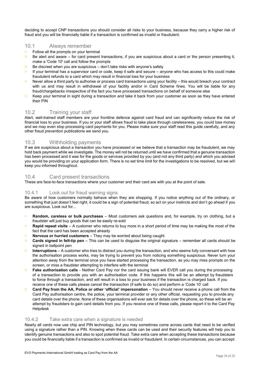deciding to accept CNP transactions you should consider all risks to your business, because they carry a higher risk of fraud and you will be financially liable if a transaction is confirmed as invalid or fraudulent.

# <span id="page-13-0"></span>10.1 Always remember

- > Follow all the prompts on your terminal
- Be alert and aware for card present transactions, if you are suspicious about a card or the person presenting it, make a 'Code 10' call and follow the prompts
- Be discreet when you are suspicious don't take risks with anyone's safety
- If your terminal has a supervisor card or code, keep it safe and secure anyone who has access to this could make fraudulent refunds to a card which may result in financial loss for your business
- Never allow a third party to authorise or process card transactions using your facility this would breach your contract with us and may result in withdrawal of your facility and/or in Card Scheme fines. You will be liable for any fraud/chargebacks irrespective of the fact you have processed transactions on behalf of someone else
- > Keep your terminal in sight during a transaction and take it back from your customer as soon as they have entered their PIN

# <span id="page-13-1"></span>10.2 Training your staff

Alert, well-trained staff members are your frontline defence against card fraud and can significantly reduce the risk of financial loss to your business. If you or your staff allows fraud to take place through carelessness, you could lose money and we may even stop processing card payments for you. Please make sure your staff read this guide carefully, and any other fraud prevention publications we send you.

# <span id="page-13-2"></span>10.3 Withholding payments

If we are suspicious about a transaction you have processed or we believe that a transaction may be fraudulent, we may hold back payment while we investigate. The money will not be returned until we have confirmed that a genuine transaction has been processed and it was for the goods or services provided by you (and not any third party) and which you advised you would be providing on your application form. There is no set time limit for the investigations to be resolved, but we will keep you informed throughout.

#### <span id="page-13-3"></span>10.4 Card present transactions

These are face-to-face transactions where your customer and their card are with you at the point of sale.

#### <span id="page-13-4"></span>10.4.1 Look out for fraud warning signs

Be aware of how customers normally behave when they are shopping. If you notice anything out of the ordinary, or something that just doesn't feel right, it could be a sign of potential fraud, so act on your instincts and don't go ahead if you are suspicious. Look out for...

- > **Random, careless or bulk purchases** Most customers ask questions and, for example, try on clothing, but a fraudster will just buy goods that can be easily re-sold
- > **Rapid repeat visits** A customer who returns to buy more in a short period of time may be making the most of the fact that the card has been accepted already
- > **Nervous or hurried customers** They may be worried about being caught
- > **Cards signed in felt-tip pen** This can be used to disguise the original signature remember all cards should be signed in ballpoint pen
- **Interruptions** A customer who tries to distract you during the transaction, and who seems fully conversant with how the authorisation process works, may be trying to prevent you from noticing something suspicious. Never turn your attention away from the terminal once you have started processing the transaction, as you may miss prompts on the screen, or miss a fraudster attempting to interfere with the terminal
- **Fake authorisation calls** Neither Card Pay nor the card issuing bank will EVER call you during the processing of a transaction to provide you with an authorisation code. If this happens this will be an attempt by fraudsters to force through a transaction, and will result in a loss to your business if the transaction is charged back. If you receive one of these calls please cancel the transaction (if safe to do so) and perform a 'Code 10' call
- > **Card Pay from the AA, Police or other 'official' impersonation** You should never receive a phone call from the Card Pay authorisation centre, the police, your terminal provider or any other official, requesting you to provide any card details over the phone. None of these organisations will ever ask for details over the phone, so these will be an attempt by fraudsters to gain card details from you. If you receive one of these calls, please report it to the Card Pay Helpdesk

#### <span id="page-13-5"></span>10.4.2 Take extra care when a signature is needed

Nearly all cards now use chip and PIN technology, but you may sometimes come across cards that need to be verified using a signature rather than a PIN. Knowing when these cards can be used and their security features will help you to identify genuine transactions and also to spot potential fraud. Take extra care when accepting these transactions because you could be financially liable if a transaction is confirmed as invalid or fraudulent. In certain circumstances, you can accept: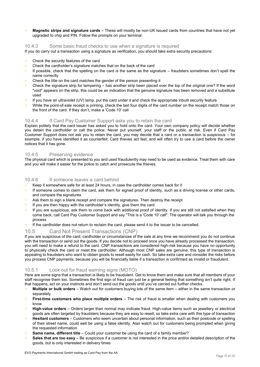> **Magnetic stripe and signature cards** – These will mostly be non-UK issued cards from countries that have not yet upgraded to chip and PIN. Follow the prompts on your terminal.

<span id="page-14-0"></span>10.4.3 Some basic fraud checks to use when a signature is required

If you do carry out a transaction using a signature as verification, you should take extra security precautions:

- > Check the security features of the card
- > Check the cardholder's signature matches that on the back of the card
- $>$  If possible, check that the spelling on the card is the same as the signature fraudsters sometimes don't spell the name correctly
- Check the title on the card matches the gender of the person presenting it
- > Check the signature strip for tampering has another strip been placed over the top of the original one? If the word "void" appears on the strip, this could be an indication that the genuine signature has been removed and a substitute used
- > If you have an ultraviolet (UV) lamp, put the card under it and check the appropriate inbuilt security feature
- While the point-of-sale receipt is printing, check the last four digits of the card number on the receipt match those on the front of the card. If they don't, make a 'Code 10' call

#### <span id="page-14-1"></span>10.4.4 If Card Pay Customer Support asks you to retain the card

Explain politely that the card issuer has asked you to hold onto the card. Your own company policy will decide whether you detain the cardholder or call the police. Never put yourself, your staff or the public at risk. Even if Card Pay Customer Support does not ask you to retain the card, you may decide that a card or a transaction is suspicious – for example, if you have identified it as counterfeit. Card thieves act fast, and will often try to use a card before the owner notices that it has gone.

#### <span id="page-14-2"></span>10.4.5 Preserving evidence

The physical card which is presented to you and used fraudulently may need to be used as evidence. Treat them with care and you will make it easier for the police to catch and prosecute the thieves.

# <span id="page-14-3"></span>10.4.6 If someone leaves a card behind

- Keep it somewhere safe for at least 24 hours, in case the cardholder comes back for it
- If someone comes to claim the card, ask them for signed proof of identity, such as a driving license or other cards, and compare the signatures
- Ask them to sign a blank receipt and compare the signatures. Then destroy the receipt
- If you are then happy with the cardholder's identity, give them the card
- If you are suspicious, ask them to come back with additional proof of identity. If you are still not satisfied when they come back, call Card Pay Customer Support and say "This is a 'Code 10' call". The operator will talk you through the process
- > If the cardholder does not return to reclaim the card, please send it to the issuer to be cancelled.

# <span id="page-14-4"></span>10.5 Card Not Present Transactions (CNP)

If you are suspicious of the card, cardholder or circumstances of the sale at any time we recommend you do not continue with the transaction or send out the goods. If you decide not to proceed once you have already processed the transaction, you will need to make a refund to the card. CNP transactions are considered high-risk because you have no opportunity to physically check the card or meet the cardholder. Although most CNP sales are genuine, this type of transaction is appealing to fraudsters who want to obtain goods to resell easily for cash. So take extra care and consider the risks before you process CNP payments, because you will be financially liable if a transaction is confirmed as invalid or fraudulent.

# <span id="page-14-5"></span>10.5.1 Look out for fraud warning signs (MOTO)

Here are some signs that a transaction is likely to be fraudulent. Get to know them and make sure that all members of your staff recognise them too. Sometimes the first sign of fraud can just be a general feeling that something isn't quite right. If that happens, act on your instincts and don't send out the goods until you've carried out further checks.

- > **Multiple or bulk orders** Watch out for customers buying lots of the same item either in the same transaction or separately
- > **First-time customers who place multiple orders** The risk of fraud is smaller when dealing with customers you know
- > **High-value orders** Orders larger than normal may indicate fraud. High-value items such as jewellery or electrical goods are often targeted by fraudsters because they are easy to resell, so take extra care with this type of transaction
- > **Hesitant customers** Customers who seem uncertain about personal information, such as their postcode or spelling of their street name, could well be using a false identity. Also watch out for customers being prompted when giving the requested information
- **Same name, different title** Could your customer be using the card of a family member?
- **Sales that are too easy** Be suspicious if a customer is not interested in the price and/or detailed description of the goods, but is only interested in delivery times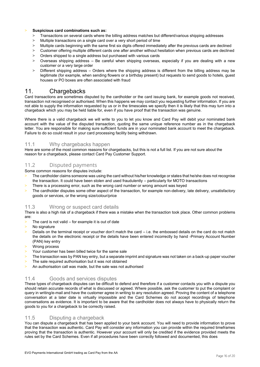#### > **Suspicious card combinations such as:**

- > Transactions on several cards where the billing address matches but different/various shipping addresses
- > Multiple transactions on a single card over a very short period of time
- > Multiple cards beginning with the same first six digits offered immediately after the previous cards are declined<br>> Customer offering multiple different cards one after another without besitation when previous cards are
- Customer offering multiple different cards one after another without hesitation when previous cards are declined
- > Orders shipped to a single address but purchased with various cards
- > Overseas shipping address Be careful when shipping overseas, especially if you are dealing with a new customer or a very large order
- > Different shipping address Orders where the shipping address is different from the billing address may be legitimate (for example, when sending flowers or a birthday present) but requests to send goods to hotels, guest houses or PO boxes are often associated with fraud

# <span id="page-15-0"></span>11. Chargebacks

Card transactions are sometimes disputed by the cardholder or the card issuing bank, for example goods not received, transaction not recognised or authorised. When this happens we may contact you requesting further information. If you are not able to supply the information requested by us or in the timescales we specify then it is likely that this may turn into a chargeback which you may be held liable for, even if you have proof that the transaction was genuine.

Where there is a valid chargeback we will write to you to let you know and Card Pay will debit your nominated bank account with the value of the disputed transaction, quoting the same unique reference number as in the chargeback letter. You are responsible for making sure sufficient funds are in your nominated bank account to meet the chargeback. Failure to do so could result in your card processing facility being withdrawn.

#### <span id="page-15-1"></span>11.1 Why chargebacks happen

Here are some of the most common reasons for chargebacks, but this is not a full list. If you are not sure about the reason for a chargeback, please contact Card Pay Customer Support.

# <span id="page-15-2"></span>11.2 Disputed payments

Some common reasons for disputes include:

- The cardholder claims someone was using the card without his/her knowledge or states that he/she does not recognise the transaction. It could have been stolen and used fraudulently – particularly for MOTO transactions
- There is a processing error, such as the wrong card number or wrong amount was keyed
- The cardholder disputes some other aspect of the transaction, for example non-delivery, late delivery, unsatisfactory goods or services, or the wrong size/colour/price

#### <span id="page-15-3"></span>11.3 Wrong or suspect card details

There is also a high risk of a chargeback if there was a mistake when the transaction took place. Other common problems are:

- $>$  The card is not valid for example it is out of date
- No signature
- Details on the terminal receipt or voucher don't match the card i.e. the embossed details on the card do not match the details on the electronic receipt or the details have been entered incorrectly by hand -Primary Account Number (PAN) key entry
- Wrong process
- > Your customer has been billed twice for the same sale
- > The transaction was by PAN key entry, but a separate imprint and signature was not taken on a back-up paper voucher
- The sale required authorisation but it was not obtained
- > An authorisation call was made, but the sale was not authorised

# <span id="page-15-4"></span>11.4 Goods and services disputes

These types of chargeback disputes can be difficult to defend and therefore if a customer contacts you with a dispute you should retain accurate records of what is discussed or agreed. Where possible, ask the customer to put the complaint or query in writing/e-mail and have the customer agree in writing to any resolution agreed. Proving the content of a telephone conversation at a later date is virtually impossible and the Card Schemes do not accept recordings of telephone conversations as evidence. It is important to be aware that the cardholder does not always have to physically return the goods to you for a chargeback to be correctly raised.

# <span id="page-15-5"></span>11.5 Disputing a chargeback

You can dispute a chargeback that has been applied to your bank account. You will need to provide information to prove that the transaction was authentic. Card Pay will consider any information you can provide within the required timeframes proving that the transaction is authentic. However your account will only be credited if the evidence provided meets the rules set by the Card Schemes. Even if all procedures have been correctly followed and documented, this does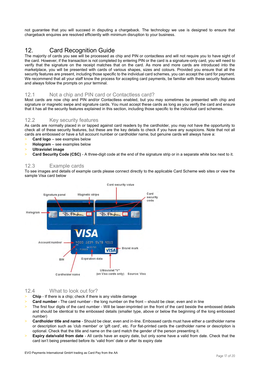not guarantee that you will succeed in disputing a chargeback. The technology we use is designed to ensure that chargeback enquires are resolved efficiently with minimum disruption to your business.

# <span id="page-16-0"></span>12. Card Recognition Guide

The majority of cards you see will be processed as chip and PIN or contactless and will not require you to have sight of the card. However, if the transaction is not completed by entering PIN or the card is a signature-only card, you will need to verify that the signature on the receipt matches that on the card. As more and more cards are introduced into the marketplace, you will be presented with cards of various shapes, sizes and colours. Provided you ensure that all the security features are present, including those specific to the individual card schemes, you can accept the card for payment. We recommend that all your staff know the process for accepting card payments, be familiar with these security features and always follow the prompts on your terminal.

# <span id="page-16-1"></span>12.1 Not a chip and PIN card or Contactless card?

Most cards are now chip and PIN and/or Contactless enabled, but you may sometimes be presented with chip and signature or magnetic swipe and signature cards. You must accept these cards as long as you verify the card and ensure that it has all the security features explained in this section, including those specific to the individual card schemes.

# <span id="page-16-2"></span>12.2 Key security features

As cards are normally placed in or tapped against card readers by the cardholder, you may not have the opportunity to check all of these security features, but these are the key details to check if you have any suspicions. Note that not all cards are embossed or have a full account number or cardholder name, but genuine cards will always have a:

- > **Card logo** see examples below
- > **Hologram** see examples below
- > **Ultraviolet image**
- Card Security Code (CSC) A three-digit code at the end of the signature strip or in a separate white box next to it.

# <span id="page-16-3"></span>12.3 Example cards

To see images and details of example cards please connect directly to the applicable Card Scheme web sites or view the sample Visa card below



# <span id="page-16-4"></span>12.4 What to look out for?

- > **Chip** If there is a chip; check if there is any visible damage
- **Card number** The card number the long number on the front should be clear, even and in line
- The first four digits of the card number Will be laser-imprinted on the front of the card beside the embossed details and should be identical to the embossed details (smaller type, above or below the beginning of the long embossed number)
- > **Cardholder title and name** Should be clear, even and in-line. Embossed cards must have either a cardholder name or description such as 'club member' or 'gift card', etc. For flat-printed cards the cardholder name or description is optional. Check that the title and name on the card match the gender of the person presenting it.
- > **Expiry date/valid from date** All cards have an expiry date, but only some have a valid from date. Check that the card isn't being presented before its 'valid from' date or after its expiry date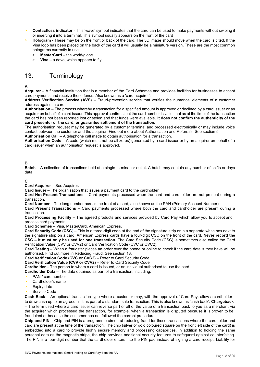- > **Contactless indicator** This 'wave' symbol indicates that the card can be used to make payments without swiping it or inserting it into a terminal. This symbol usually appears on the front of the card
- > **Hologram** These may be on the front or back of the card. The 3D image should move when the card is tilted. If the Visa logo has been placed on the back of the card it will usually be a miniature version. These are the most common holograms currently in use:
	- > **MasterCard** the world/globe
	- > **Visa** a dove, which appears to fly

# <span id="page-17-0"></span>13. Terminology

# **A**

**Acquirer** – A financial institution that is a member of the Card Schemes and provides facilities for businesses to accept card payments and receive these funds. Also known as a 'card acquirer'.

**Address Verification Service (AVS)** – Fraud-prevention service that verifies the numerical elements of a customer address against a card.

**Authorisation** – The process whereby a transaction for a specified amount is approved or declined by a card issuer or an acquirer on behalf of a card issuer. This approval confirms that the card number is valid, that as at the time of the transaction the card has not been reported lost or stolen and that funds were available. **It does not confirm the authenticity of the card presenter or the card, or guarantee settlement of the transaction.** 

The authorisation request may be generated by a customer terminal and processed electronically or may include voice contact between the customer and the acquirer. Find out more about Authorisation and Referrals. See section 5.

**Authorisation Call** – A telephone call made to obtain authorisation for a transaction.

**Authorisation Code** – A code (which must not be all zeros) generated by a card issuer or by an acquirer on behalf of a card issuer when an authorisation request is approved.

# **B**

**Batch** – A collection of transactions held at a single terminal or outlet. A batch may contain any number of shifts or days data.

#### **C**

**Card Acquirer** – See Acquirer.

**Card Issuer** – The organisation that issues a payment card to the cardholder.

**Card Not Present Transactions** – Card payments processed when the card and cardholder are not present during a transaction.

**Card Number** – The long number across the front of a card, also known as the PAN (Primary Account Number).

**Card Present Transactions** – Card payments processed where both the card and cardholder are present during a transaction.

**Card Processing Facility** – The agreed products and services provided by Card Pay which allow you to accept and process card payments.

**Card Schemes** – Visa, MasterCard, American Express.

**Card Security Code (CSC**) – This is a three-digit code at the end of the signature strip or in a separate white box next to the signature strip on a card. American Express cards have a four-digit CSC on the front of the card. **Never record the CSC – it must only be used for one transaction.** The Card Security Code (CSC) is sometimes also called the Card Verification Value (CVV or CVV2) or Card Verification Code (CVC or CVC2).

**Card Testing** – When a fraudster places an order over the phone or online to check if the card details they have will be authorised. Find out more in Reducing Fraud. See section 13.

**Card Verification Code (CVC or CVC2)** – Refer to Card Security Code

**Card Verification Value (CVV or CVV2)** – Refer to Card Security Code

**Cardholder** – The person to whom a card is issued, or an individual authorised to use the card.

**Cardholder Data** – The data obtained as part of a transaction, including:

- PAN / card number
- Cardholder's name
- Expiry date
- Service Code

**Cash Back** – An optional transaction type where a customer may, with the approval of Card Pay, allow a cardholder to draw cash up to an agreed limit as part of a standard sale transaction. This is also known as 'cash back'. **Chargeback**  – The term used where a card issuer can reverse part or all of the value of a transaction back to you as a merchant via the acquirer which processed the transaction, for example, when a transaction is disputed because it is proven to be fraudulent or because the customer has not followed the correct procedures.

**Chip and PIN** – Chip and PIN is a programme aimed at reducing fraud for those transactions where the cardholder and card are present at the time of the transaction. The chip (silver or gold coloured square on the front left side of the card) is embedded into a card to provide highly secure memory and processing capabilities. In addition to holding the same personal data as the magnetic stripe, the chip provides additional security features to safeguard against counterfeiting. The PIN is a four-digit number that the cardholder enters into the PIN pad instead of signing a card receipt. Liability for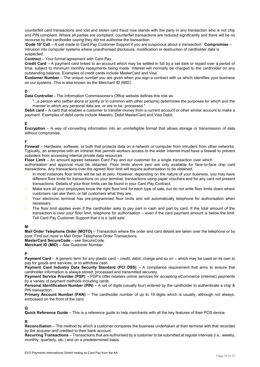counterfeit card transactions and lost and stolen card fraud now stands with the party in any transaction who is not chip and PIN compliant. Where all parties are compliant, counterfeit transactions are reduced significantly and there will be no recourse by the cardholder saying they did not authorise the transaction.

**'Code 10' Call** – A call made to Card Pay Customer Support if you are suspicious about a transaction. **Compromise** – Intrusion into computer systems where unauthorised disclosure, modification or destruction of cardholder data is suspected.

**Contract** – Your formal agreement with Card Pay.

**Credit Card** – A payment card linked to an account which may be settled in full by a set date or repaid over a period of time, subject to minimum monthly repayments being made. Interest will normally be charged to the cardholder on any outstanding balance. Examples of credit cards include MasterCard and Visa.

**Customer Number** – The unique number you are given when you sign a contract with us which identifies your business on our systems. This is also known as the Merchant ID (MID).

#### **D**

**Data Controller** - The Information Commissioner's Office website defines this role as:

> "...a person who (either alone or jointly or in common with other persons) determines the purposes for which and the manner in which any personal data are, or are to be, processed."

**Debit card** – A card that enables a customer to transfer money from a current account or other similar account to make a payment. Examples of debit cards include Maestro, Debit MasterCard and Visa Debit.

# **E**

**Encryption** – A way of converting information into an unintelligible format that allows storage or transmission of data without compromise.

# **F**

**Firewall** – Hardware, software, or both that protects data on a network or computer from intruders from other networks. Typically, an enterprise with an intranet that permits workers access to the wider Internet must have a firewall to prevent outsiders from accessing internal private data resources.

**Floor Limit** – An amount agreed between Card Pay and our customer for a single transaction over which

authorisation and approval must be obtained. Floor limits above zero are only available for face-to-face chip card transactions. Any transactions over the agreed floor limit will require authorisation to be obtained.

- In most instances floor limits will be set at zero. However, depending on the nature of your business, you may have different floor limits for transactions on your terminal, transactions using paper vouchers and for any card not present transactions. Details of your floor limits can be found in your Card Pay Contract.
- Make sure all your employees know the right floor limit for each type of sale, but do not write floor limits down where customers can see them, or tell customers what they are.
- Your electronic terminal has pre-programmed floor limits and will automatically telephone for authorisation when necessary.
- The floor limit applies even if the cardholder asks to pay part in cash and part by card. If the total amount of the transaction is over your floor limit, telephone for authorisation – even if the card payment amount is below the limit. Tell Card Pay Customer Support that it is a 'split sale'.

# **M**

**Mail Order Telephone Order (MOTO)** – Transaction where the order and card details are taken over the telephone or by post. Find out more in Mail Order Telephone Order Transactions.

**MasterCard SecureCode** – see SecureCode.

**Merchant ID (MID)** – See Customer Number.

#### **P**

**Payment Card** – A generic term for any plastic card – credit, debit, charge and so on – which may be used on its own to pay for goods and services, or to withdraw cash.

**Payment Card Industry Data Security Standard (PCI DSS)** – A compliance requirement that aims to ensure that cardholder information is always stored, processed and transmitted securely.

**Payment Service Provider (PSP)** – PSP's offer retailers online services for accepting eCommerce (internet) payments by a variety of payment methods including cards.

**Personal Identification Number (PIN)** – A set of digits (usually four) entered by the cardholder to authenticate a chip & PIN transaction.

**Primary Account Number (PAN)** – The cardholder number of up to 19 digits which is usually, although not always, embossed on the front of the card.

# **Q**

**Quick Reference Guide** – This is a reference guide to help merchants with all the key features of their POS device.

# **R**

**Reconciliation** – The method by which a customer compares the business undertaken at their terminal with that recorded by the acquirer and credited to their bank account.

**Recurring Transactions** – Transactions that are authorised by a customer to be submitted at regular intervals (i.e., weekly, monthly, quarterly, etc.) and on a predetermined basis.